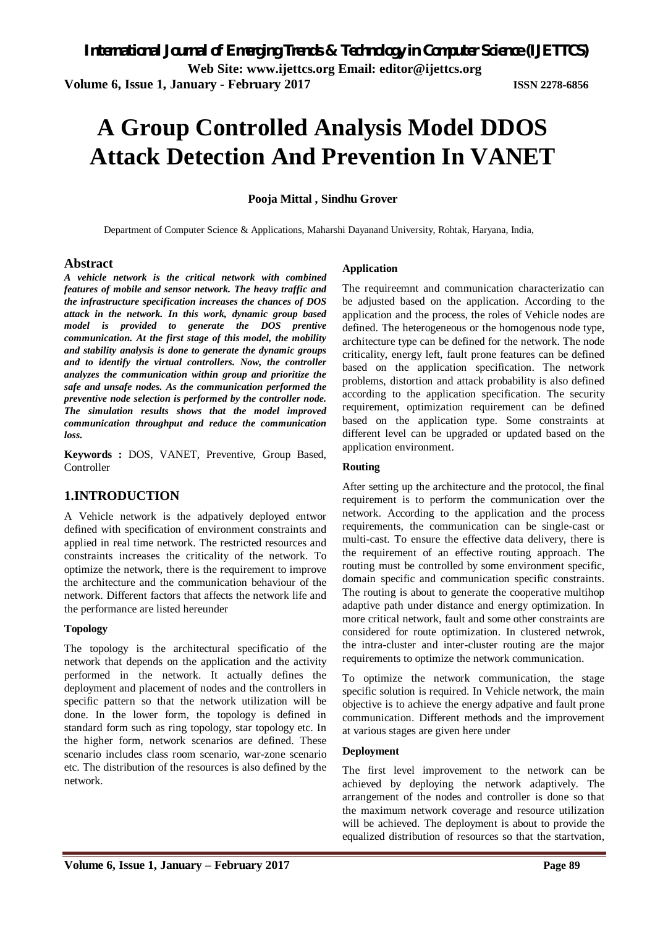# **A Group Controlled Analysis Model DDOS Attack Detection And Prevention In VANET**

#### **Pooja Mittal , Sindhu Grover**

Department of Computer Science & Applications, Maharshi Dayanand University, Rohtak, Haryana, India,

#### **Abstract**

*A vehicle network is the critical network with combined features of mobile and sensor network. The heavy traffic and the infrastructure specification increases the chances of DOS attack in the network. In this work, dynamic group based model is provided to generate the DOS prentive communication. At the first stage of this model, the mobility and stability analysis is done to generate the dynamic groups*  and to identify the virtual controllers. Now, the controller *analyzes the communication within group and prioritize the safe and unsafe nodes. As the communication performed the preventive node selection is performed by the controller node. The simulation results shows that the model improved communication throughput and reduce the communication loss.* 

**Keywords :** DOS, VANET, Preventive, Group Based, **Controller** 

#### **1.INTRODUCTION**

A Vehicle network is the adpatively deployed entwor defined with specification of environment constraints and applied in real time network. The restricted resources and constraints increases the criticality of the network. To optimize the network, there is the requirement to improve the architecture and the communication behaviour of the network. Different factors that affects the network life and the performance are listed hereunder

#### **Topology**

The topology is the architectural specificatio of the network that depends on the application and the activity performed in the network. It actually defines the deployment and placement of nodes and the controllers in specific pattern so that the network utilization will be done. In the lower form, the topology is defined in standard form such as ring topology, star topology etc. In the higher form, network scenarios are defined. These scenario includes class room scenario, war-zone scenario etc. The distribution of the resources is also defined by the network.

#### **Application**

The requireemnt and communication characterizatio can be adjusted based on the application. According to the application and the process, the roles of Vehicle nodes are defined. The heterogeneous or the homogenous node type, architecture type can be defined for the network. The node criticality, energy left, fault prone features can be defined based on the application specification. The network problems, distortion and attack probability is also defined according to the application specification. The security requirement, optimization requirement can be defined based on the application type. Some constraints at different level can be upgraded or updated based on the application environment.

#### **Routing**

After setting up the architecture and the protocol, the final requirement is to perform the communication over the network. According to the application and the process requirements, the communication can be single-cast or multi-cast. To ensure the effective data delivery, there is the requirement of an effective routing approach. The routing must be controlled by some environment specific, domain specific and communication specific constraints. The routing is about to generate the cooperative multihop adaptive path under distance and energy optimization. In more critical network, fault and some other constraints are considered for route optimization. In clustered netwrok, the intra-cluster and inter-cluster routing are the major requirements to optimize the network communication.

To optimize the network communication, the stage specific solution is required. In Vehicle network, the main objective is to achieve the energy adpative and fault prone communication. Different methods and the improvement at various stages are given here under

#### **Deployment**

The first level improvement to the network can be achieved by deploying the network adaptively. The arrangement of the nodes and controller is done so that the maximum network coverage and resource utilization will be achieved. The deployment is about to provide the equalized distribution of resources so that the startvation,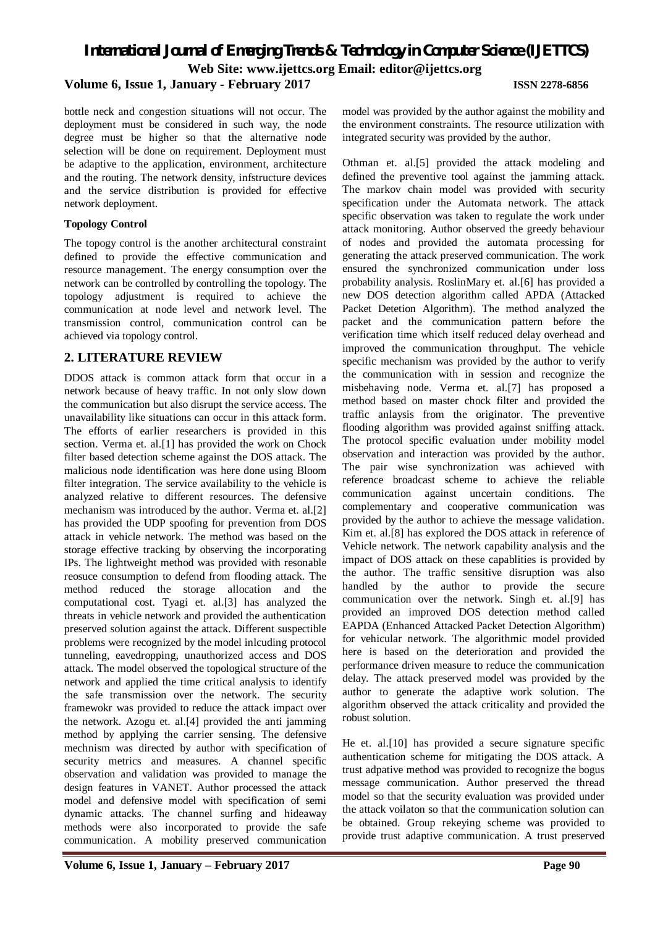# *International Journal of Emerging Trends & Technology in Computer Science (IJETTCS)* **Web Site: www.ijettcs.org Email: editor@ijettcs.org**

**Volume 6, Issue 1, January - February 2017 ISSN 2278-6856**

bottle neck and congestion situations will not occur. The deployment must be considered in such way, the node degree must be higher so that the alternative node selection will be done on requirement. Deployment must be adaptive to the application, environment, architecture and the routing. The network density, infstructure devices and the service distribution is provided for effective network deployment.

#### **Topology Control**

The topogy control is the another architectural constraint defined to provide the effective communication and resource management. The energy consumption over the network can be controlled by controlling the topology. The topology adjustment is required to achieve the communication at node level and network level. The transmission control, communication control can be achieved via topology control.

# **2. LITERATURE REVIEW**

DDOS attack is common attack form that occur in a network because of heavy traffic. In not only slow down the communication but also disrupt the service access. The unavailability like situations can occur in this attack form. The efforts of earlier researchers is provided in this section. Verma et. al.[1] has provided the work on Chock filter based detection scheme against the DOS attack. The malicious node identification was here done using Bloom filter integration. The service availability to the vehicle is analyzed relative to different resources. The defensive mechanism was introduced by the author. Verma et. al.[2] has provided the UDP spoofing for prevention from DOS attack in vehicle network. The method was based on the storage effective tracking by observing the incorporating IPs. The lightweight method was provided with resonable reosuce consumption to defend from flooding attack. The method reduced the storage allocation and the computational cost. Tyagi et. al.[3] has analyzed the threats in vehicle network and provided the authentication preserved solution against the attack. Different suspectible problems were recognized by the model inlcuding protocol tunneling, eavedropping, unauthorized access and DOS attack. The model observed the topological structure of the network and applied the time critical analysis to identify the safe transmission over the network. The security framewokr was provided to reduce the attack impact over the network. Azogu et. al.[4] provided the anti jamming method by applying the carrier sensing. The defensive mechnism was directed by author with specification of security metrics and measures. A channel specific observation and validation was provided to manage the design features in VANET. Author processed the attack model and defensive model with specification of semi dynamic attacks. The channel surfing and hideaway methods were also incorporated to provide the safe communication. A mobility preserved communication

model was provided by the author against the mobility and the environment constraints. The resource utilization with integrated security was provided by the author.

Othman et. al.[5] provided the attack modeling and defined the preventive tool against the jamming attack. The markov chain model was provided with security specification under the Automata network. The attack specific observation was taken to regulate the work under attack monitoring. Author observed the greedy behaviour of nodes and provided the automata processing for generating the attack preserved communication. The work ensured the synchronized communication under loss probability analysis. RoslinMary et. al.[6] has provided a new DOS detection algorithm called APDA (Attacked Packet Detetion Algorithm). The method analyzed the packet and the communication pattern before the verification time which itself reduced delay overhead and improved the communication throughput. The vehicle specific mechanism was provided by the author to verify the communication with in session and recognize the misbehaving node. Verma et. al.[7] has proposed a method based on master chock filter and provided the traffic anlaysis from the originator. The preventive flooding algorithm was provided against sniffing attack. The protocol specific evaluation under mobility model observation and interaction was provided by the author. The pair wise synchronization was achieved with reference broadcast scheme to achieve the reliable communication against uncertain conditions. The complementary and cooperative communication was provided by the author to achieve the message validation. Kim et. al.[8] has explored the DOS attack in reference of Vehicle network. The network capability analysis and the impact of DOS attack on these capablities is provided by the author. The traffic sensitive disruption was also handled by the author to provide the secure communication over the network. Singh et. al.[9] has provided an improved DOS detection method called EAPDA (Enhanced Attacked Packet Detection Algorithm) for vehicular network. The algorithmic model provided here is based on the deterioration and provided the performance driven measure to reduce the communication delay. The attack preserved model was provided by the author to generate the adaptive work solution. The algorithm observed the attack criticality and provided the robust solution.

He et. al.[10] has provided a secure signature specific authentication scheme for mitigating the DOS attack. A trust adpative method was provided to recognize the bogus message communication. Author preserved the thread model so that the security evaluation was provided under the attack voilaton so that the communication solution can be obtained. Group rekeying scheme was provided to provide trust adaptive communication. A trust preserved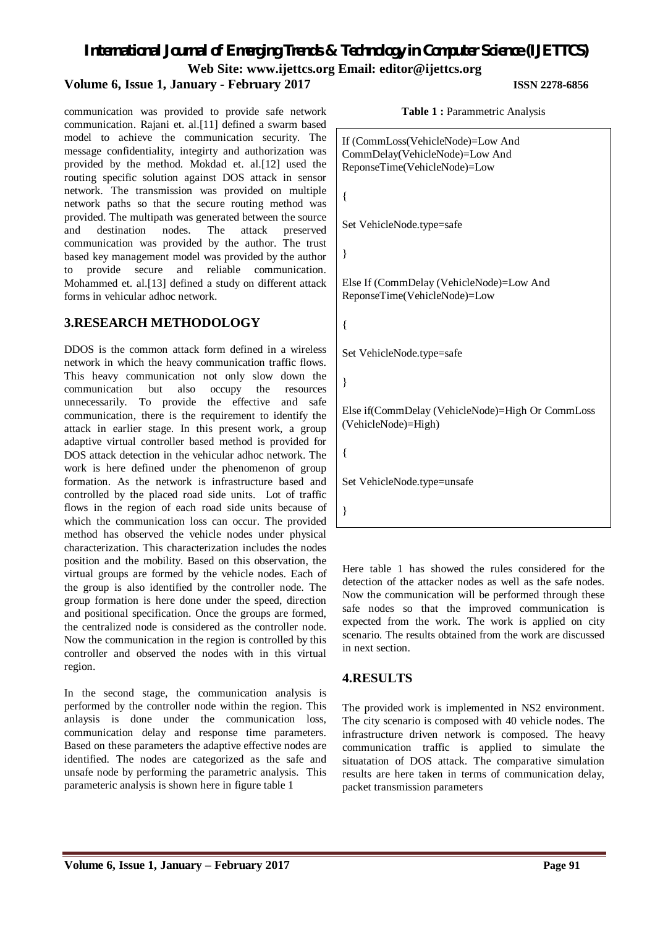*International Journal of Emerging Trends & Technology in Computer Science (IJETTCS)* **Web Site: www.ijettcs.org Email: editor@ijettcs.org** 

### **Volume 6, Issue 1, January - February 2017 ISSN 2278-6856**

communication was provided to provide safe network communication. Rajani et. al.[11] defined a swarm based model to achieve the communication security. The message confidentiality, integirty and authorization was provided by the method. Mokdad et. al.[12] used the routing specific solution against DOS attack in sensor network. The transmission was provided on multiple network paths so that the secure routing method was provided. The multipath was generated between the source<br>and destination nodes. The attack preserved and destination nodes. The attack preserved communication was provided by the author. The trust based key management model was provided by the author to provide secure and reliable communication. Mohammed et. al.[13] defined a study on different attack forms in vehicular adhoc network.

#### **3.RESEARCH METHODOLOGY**

DDOS is the common attack form defined in a wireless network in which the heavy communication traffic flows. This heavy communication not only slow down the communication but also occupy the resources unnecessarily. To provide the effective and safe communication, there is the requirement to identify the attack in earlier stage. In this present work, a group adaptive virtual controller based method is provided for DOS attack detection in the vehicular adhoc network. The work is here defined under the phenomenon of group formation. As the network is infrastructure based and controlled by the placed road side units. Lot of traffic flows in the region of each road side units because of which the communication loss can occur. The provided method has observed the vehicle nodes under physical characterization. This characterization includes the nodes position and the mobility. Based on this observation, the virtual groups are formed by the vehicle nodes. Each of the group is also identified by the controller node. The group formation is here done under the speed, direction and positional specification. Once the groups are formed, the centralized node is considered as the controller node. Now the communication in the region is controlled by this controller and observed the nodes with in this virtual region.

In the second stage, the communication analysis is performed by the controller node within the region. This anlaysis is done under the communication loss, communication delay and response time parameters. Based on these parameters the adaptive effective nodes are identified. The nodes are categorized as the safe and unsafe node by performing the parametric analysis. This parameteric analysis is shown here in figure table 1

**Table 1 :** Parammetric Analysis

```
If (CommLoss(VehicleNode)=Low And 
CommDelay(VehicleNode)=Low And 
ReponseTime(VehicleNode)=Low
{
Set VehicleNode.type=safe
}
Else If (CommDelay (VehicleNode)=Low And 
ReponseTime(VehicleNode)=Low
{
Set VehicleNode.type=safe
}
Else if(CommDelay (VehicleNode)=High Or CommLoss 
(VehicleNode)=High)
{
Set VehicleNode.type=unsafe
}
```
Here table 1 has showed the rules considered for the detection of the attacker nodes as well as the safe nodes. Now the communication will be performed through these safe nodes so that the improved communication is expected from the work. The work is applied on city scenario. The results obtained from the work are discussed in next section.

# **4.RESULTS**

The provided work is implemented in NS2 environment. The city scenario is composed with 40 vehicle nodes. The infrastructure driven network is composed. The heavy communication traffic is applied to simulate the situatation of DOS attack. The comparative simulation results are here taken in terms of communication delay, packet transmission parameters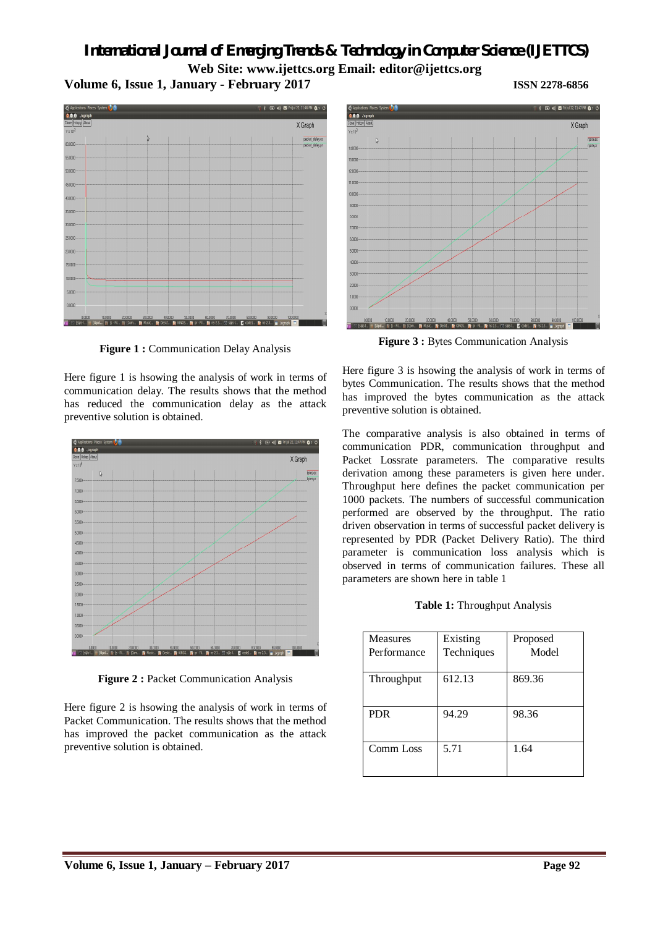# *International Journal of Emerging Trends & Technology in Computer Science (IJETTCS)* **Web Site: www.ijettcs.org Email: editor@ijettcs.org Volume 6, Issue 1, January - February 2017 ISSN 2278-6856**





**Figure 1 :** Communication Delay Analysis

Here figure 1 is hsowing the analysis of work in terms of communication delay. The results shows that the method has reduced the communication delay as the attack preventive solution is obtained.



**Figure 2 :** Packet Communication Analysis

Here figure 2 is hsowing the analysis of work in terms of Packet Communication. The results shows that the method has improved the packet communication as the attack preventive solution is obtained.



**Figure 3 :** Bytes Communication Analysis

Here figure 3 is hsowing the analysis of work in terms of bytes Communication. The results shows that the method has improved the bytes communication as the attack preventive solution is obtained.

The comparative analysis is also obtained in terms of communication PDR, communication throughput and Packet Lossrate parameters. The comparative results derivation among these parameters is given here under. Throughput here defines the packet communication per 1000 packets. The numbers of successful communication performed are observed by the throughput. The ratio driven observation in terms of successful packet delivery is represented by PDR (Packet Delivery Ratio). The third parameter is communication loss analysis which is observed in terms of communication failures. These all parameters are shown here in table 1

**Table 1:** Throughput Analysis

| Measures    | Existing   | Proposed |
|-------------|------------|----------|
| Performance | Techniques | Model    |
|             |            |          |
| Throughput  | 612.13     | 869.36   |
|             |            |          |
|             |            |          |
| <b>PDR</b>  | 94.29      | 98.36    |
|             |            |          |
|             |            |          |
| Comm Loss   | 5.71       | 1.64     |
|             |            |          |
|             |            |          |